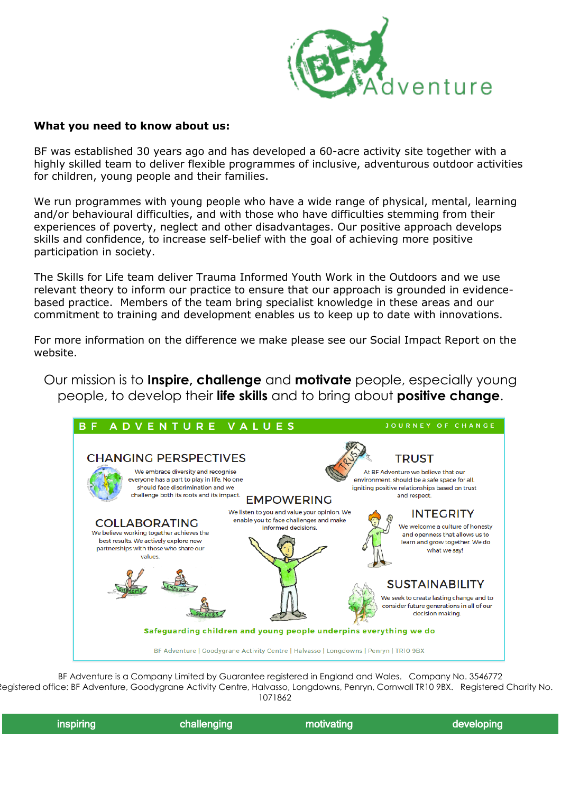

#### **What you need to know about us:**

BF was established 30 years ago and has developed a 60-acre activity site together with a highly skilled team to deliver flexible programmes of inclusive, adventurous outdoor activities for children, young people and their families.

We run programmes with young people who have a wide range of physical, mental, learning and/or behavioural difficulties, and with those who have difficulties stemming from their experiences of poverty, neglect and other disadvantages. Our positive approach develops skills and confidence, to increase self-belief with the goal of achieving more positive participation in society.

The Skills for Life team deliver Trauma Informed Youth Work in the Outdoors and we use relevant theory to inform our practice to ensure that our approach is grounded in evidencebased practice. Members of the team bring specialist knowledge in these areas and our commitment to training and development enables us to keep up to date with innovations.

For more information on the difference we make please see our Social Impact Report on the website.

Our mission is to **Inspire, challenge** and **motivate** people, especially young people, to develop their **life skills** and to bring about **positive change**.



BF Adventure is a Company Limited by Guarantee registered in England and Wales. Company No. 3546772 Registered office: BF Adventure, Goodygrane Activity Centre, Halvasso, Longdowns, Penryn, Cornwall TR10 9BX. Registered Charity No. 1071862

| inspiring, | challenging | l motivating | developing |
|------------|-------------|--------------|------------|
|            |             |              |            |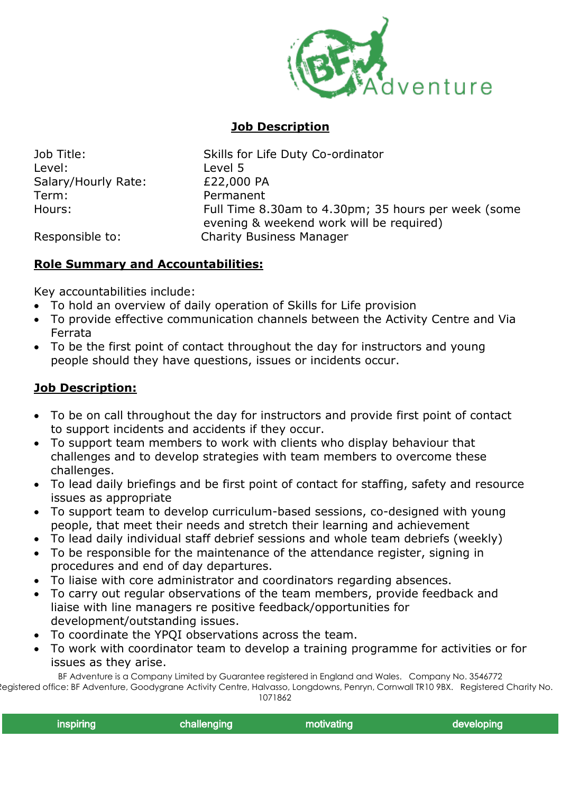

### **Job Description**

Level: Level 5 Salary/Hourly Rate: £22,000 PA Term: Permanent

Job Title: Skills for Life Duty Co-ordinator Hours: Full Time 8.30am to 4.30pm; 35 hours per week (some evening & weekend work will be required) Responsible to: Charity Business Manager

# **Role Summary and Accountabilities:**

Key accountabilities include:

- To hold an overview of daily operation of Skills for Life provision
- To provide effective communication channels between the Activity Centre and Via Ferrata
- To be the first point of contact throughout the day for instructors and young people should they have questions, issues or incidents occur.

### **Job Description:**

- To be on call throughout the day for instructors and provide first point of contact to support incidents and accidents if they occur.
- To support team members to work with clients who display behaviour that challenges and to develop strategies with team members to overcome these challenges.
- To lead daily briefings and be first point of contact for staffing, safety and resource issues as appropriate
- To support team to develop curriculum-based sessions, co-designed with young people, that meet their needs and stretch their learning and achievement
- To lead daily individual staff debrief sessions and whole team debriefs (weekly)
- To be responsible for the maintenance of the attendance register, signing in procedures and end of day departures.
- To liaise with core administrator and coordinators regarding absences.
- To carry out regular observations of the team members, provide feedback and liaise with line managers re positive feedback/opportunities for development/outstanding issues.
- To coordinate the YPQI observations across the team.
- To work with coordinator team to develop a training programme for activities or for issues as they arise.

BF Adventure is a Company Limited by Guarantee registered in England and Wales. Company No. 3546772 Registered office: BF Adventure, Goodygrane Activity Centre, Halvasso, Longdowns, Penryn, Cornwall TR10 9BX. Registered Charity No.

1071862

| inspiring<br>developing<br>motivating<br>challenging, |
|-------------------------------------------------------|
|-------------------------------------------------------|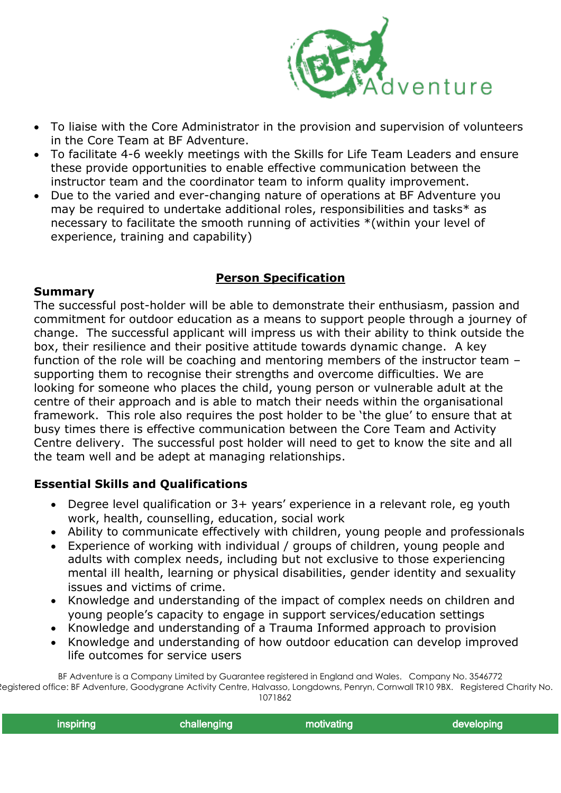

- To liaise with the Core Administrator in the provision and supervision of volunteers in the Core Team at BF Adventure.
- To facilitate 4-6 weekly meetings with the Skills for Life Team Leaders and ensure these provide opportunities to enable effective communication between the instructor team and the coordinator team to inform quality improvement.
- Due to the varied and ever-changing nature of operations at BF Adventure you may be required to undertake additional roles, responsibilities and tasks\* as necessary to facilitate the smooth running of activities \*(within your level of experience, training and capability)

## **Person Specification**

#### **Summary**

The successful post-holder will be able to demonstrate their enthusiasm, passion and commitment for outdoor education as a means to support people through a journey of change. The successful applicant will impress us with their ability to think outside the box, their resilience and their positive attitude towards dynamic change. A key function of the role will be coaching and mentoring members of the instructor team – supporting them to recognise their strengths and overcome difficulties. We are looking for someone who places the child, young person or vulnerable adult at the centre of their approach and is able to match their needs within the organisational framework. This role also requires the post holder to be 'the glue' to ensure that at busy times there is effective communication between the Core Team and Activity Centre delivery. The successful post holder will need to get to know the site and all the team well and be adept at managing relationships.

# **Essential Skills and Qualifications**

- Degree level qualification or 3+ years' experience in a relevant role, eg youth work, health, counselling, education, social work
- Ability to communicate effectively with children, young people and professionals
- Experience of working with individual / groups of children, young people and adults with complex needs, including but not exclusive to those experiencing mental ill health, learning or physical disabilities, gender identity and sexuality issues and victims of crime.
- Knowledge and understanding of the impact of complex needs on children and young people's capacity to engage in support services/education settings
- Knowledge and understanding of a Trauma Informed approach to provision
- Knowledge and understanding of how outdoor education can develop improved life outcomes for service users

BF Adventure is a Company Limited by Guarantee registered in England and Wales. Company No. 3546772 Registered office: BF Adventure, Goodygrane Activity Centre, Halvasso, Longdowns, Penryn, Cornwall TR10 9BX. Registered Charity No. 1071862

| and the same contract and all<br>aloning. |  |  |  |  |  |
|-------------------------------------------|--|--|--|--|--|
|-------------------------------------------|--|--|--|--|--|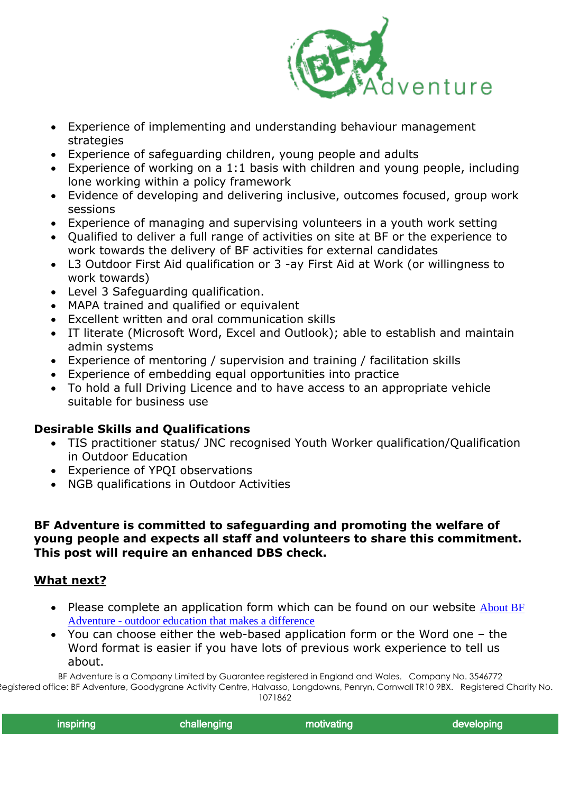

- Experience of implementing and understanding behaviour management strategies
- Experience of safeguarding children, young people and adults
- Experience of working on a 1:1 basis with children and young people, including lone working within a policy framework
- Evidence of developing and delivering inclusive, outcomes focused, group work sessions
- Experience of managing and supervising volunteers in a youth work setting
- Qualified to deliver a full range of activities on site at BF or the experience to work towards the delivery of BF activities for external candidates
- L3 Outdoor First Aid qualification or 3 -ay First Aid at Work (or willingness to work towards)
- Level 3 Safeguarding qualification.
- MAPA trained and qualified or equivalent
- Excellent written and oral communication skills
- IT literate (Microsoft Word, Excel and Outlook); able to establish and maintain admin systems
- Experience of mentoring / supervision and training / facilitation skills
- Experience of embedding equal opportunities into practice
- To hold a full Driving Licence and to have access to an appropriate vehicle suitable for business use

### **Desirable Skills and Qualifications**

- TIS practitioner status/ JNC recognised Youth Worker qualification/Qualification in Outdoor Education
- Experience of YPQI observations
- NGB qualifications in Outdoor Activities

#### **BF Adventure is committed to safeguarding and promoting the welfare of young people and expects all staff and volunteers to share this commitment. This post will require an enhanced DBS check.**

#### **What next?**

- Please complete an application form which can be found on our website About BF Adventure - [outdoor education that makes a difference](https://www.bfadventure.org/about-bf-adventure/#joinus)
- You can choose either the web-based application form or the Word one the Word format is easier if you have lots of previous work experience to tell us about.

BF Adventure is a Company Limited by Guarantee registered in England and Wales. Company No. 3546772 Registered office: BF Adventure, Goodygrane Activity Centre, Halvasso, Longdowns, Penryn, Cornwall TR10 9BX. Registered Charity No.

1071862